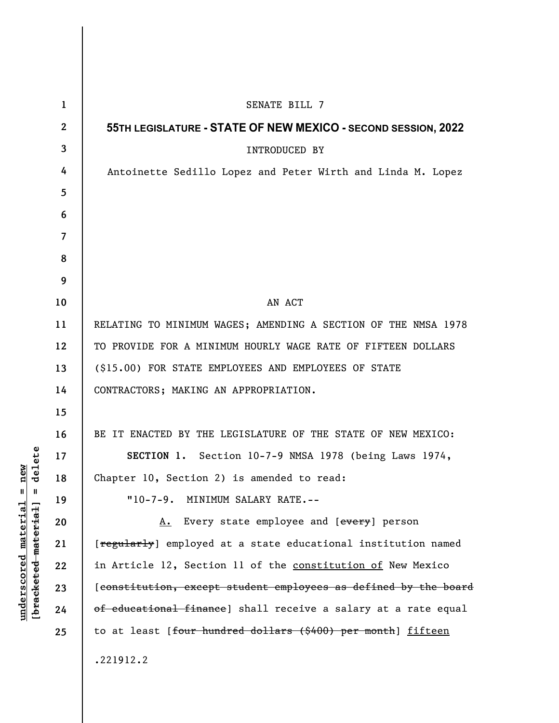| $\mathbf{1}$ | SENATE BILL 7                                                             |
|--------------|---------------------------------------------------------------------------|
| $\mathbf{2}$ | 55TH LEGISLATURE - STATE OF NEW MEXICO - SECOND SESSION, 2022             |
| 3            | <b>INTRODUCED BY</b>                                                      |
| 4            | Antoinette Sedillo Lopez and Peter Wirth and Linda M. Lopez               |
| 5            |                                                                           |
| 6            |                                                                           |
| 7            |                                                                           |
| 8            |                                                                           |
| 9            |                                                                           |
| 10           | AN ACT                                                                    |
| 11           | RELATING TO MINIMUM WAGES; AMENDING A SECTION OF THE NMSA 1978            |
| 12           | TO PROVIDE FOR A MINIMUM HOURLY WAGE RATE OF FIFTEEN DOLLARS              |
| 13           | (\$15.00) FOR STATE EMPLOYEES AND EMPLOYEES OF STATE                      |
| 14           | CONTRACTORS; MAKING AN APPROPRIATION.                                     |
| 15           |                                                                           |
| 16           | BE IT ENACTED BY THE LEGISLATURE OF THE STATE OF NEW MEXICO:              |
| 17           | SECTION 1. Section 10-7-9 NMSA 1978 (being Laws 1974,                     |
| 18           | Chapter 10, Section 2) is amended to read:                                |
| 19           | "10-7-9. MINIMUM SALARY RATE.--                                           |
| 20           | A. Every state employee and [every] person                                |
| 21           | [regularly] employed at a state educational institution named             |
| 22           | in Article 12, Section 11 of the constitution of New Mexico               |
| 23           | [constitution, except student employees as defined by the board           |
| 24           | of educational finance] shall receive a salary at a rate equal            |
| 25           | to at least [ <del>four hundred dollars (\$400) per month</del> ] fifteen |
|              | .221912.2                                                                 |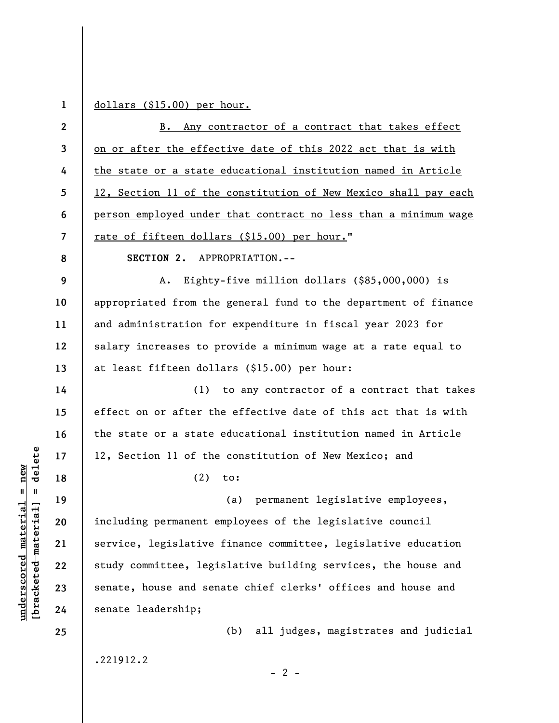**1** 

dollars (\$15.00) per hour.

| $\mathbf{2}$ | B. Any contractor of a contract that takes effect               |
|--------------|-----------------------------------------------------------------|
| $\mathbf{3}$ | on or after the effective date of this 2022 act that is with    |
| 4            | the state or a state educational institution named in Article   |
| 5            | 12, Section 11 of the constitution of New Mexico shall pay each |
| 6            | person employed under that contract no less than a minimum wage |
| 7            | rate of fifteen dollars (\$15.00) per hour."                    |
| 8            | SECTION 2. APPROPRIATION.--                                     |
| 9            | Eighty-five million dollars (\$85,000,000) is<br>A.             |
| 10           | appropriated from the general fund to the department of finance |
| 11           | and administration for expenditure in fiscal year 2023 for      |
| 12           | salary increases to provide a minimum wage at a rate equal to   |
| 13           | at least fifteen dollars (\$15.00) per hour:                    |
| 14           | (1) to any contractor of a contract that takes                  |
| 15           | effect on or after the effective date of this act that is with  |
| 16           | the state or a state educational institution named in Article   |
| 17           | 12, Section 11 of the constitution of New Mexico; and           |
| 18           | (2)<br>to:                                                      |
| 19           | permanent legislative employees,<br>(a)                         |
| 20           | including permanent employees of the legislative council        |
| 21           | service, legislative finance committee, legislative education   |
| 22           | study committee, legislative building services, the house and   |
| 23           | senate, house and senate chief clerks' offices and house and    |
| 24           | senate leadership;                                              |
| 25           | (b) all judges, magistrates and judicial                        |
|              | .221912.2                                                       |
|              | $-2$ -                                                          |

 $[**bracket**eted  
metertad] = **delete**$ **[bracketed material] = delete**  $underscored material = new$ **underscored material = new**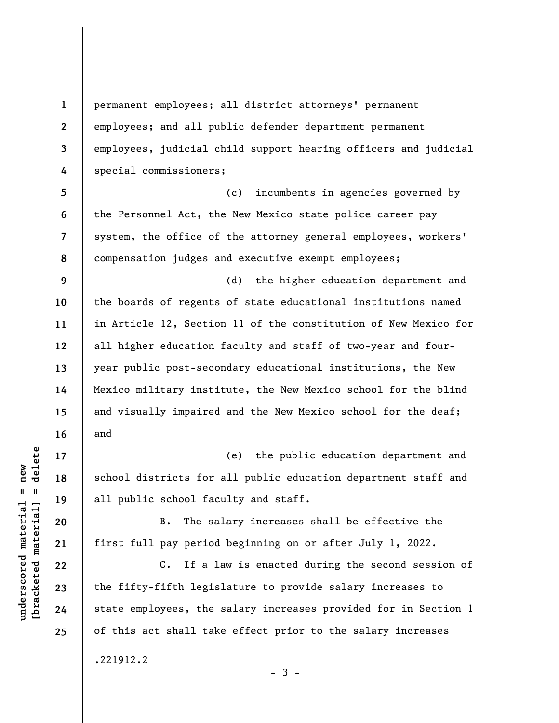$\frac{1}{2}$  intereted material = delete **[bracketed material] = delete**  $underscored material = new$ **underscored material = new**

**17** 

**18** 

**19** 

**20** 

**21** 

**22** 

**23** 

**24** 

**25** 

**1** 

**2** 

**3** 

**4** 

permanent employees; all district attorneys' permanent employees; and all public defender department permanent employees, judicial child support hearing officers and judicial special commissioners;

**5 6 7 8**  (c) incumbents in agencies governed by the Personnel Act, the New Mexico state police career pay system, the office of the attorney general employees, workers' compensation judges and executive exempt employees;

**9 10 11 12 13 14 15 16**  (d) the higher education department and the boards of regents of state educational institutions named in Article 12, Section 11 of the constitution of New Mexico for all higher education faculty and staff of two-year and fouryear public post-secondary educational institutions, the New Mexico military institute, the New Mexico school for the blind and visually impaired and the New Mexico school for the deaf; and

(e) the public education department and school districts for all public education department staff and all public school faculty and staff.

 B. The salary increases shall be effective the first full pay period beginning on or after July 1, 2022.

C. If a law is enacted during the second session of the fifty-fifth legislature to provide salary increases to state employees, the salary increases provided for in Section 1 of this act shall take effect prior to the salary increases

.221912.2

 $-3 -$